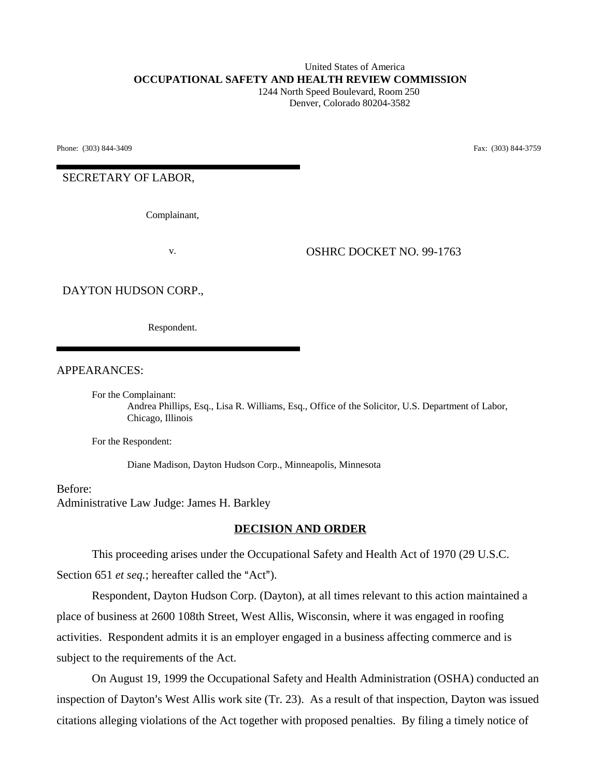#### United States of America **OCCUPATIONAL SAFETY AND HEALTH REVIEW COMMISSION** 1244 North Speed Boulevard, Room 250 Denver, Colorado 80204-3582

Phone: (303) 844-3409 **Fax:** (303) 844-3759

SECRETARY OF LABOR,

Complainant,

v. OSHRC DOCKET NO. 99-1763

DAYTON HUDSON CORP.,

Respondent.

APPEARANCES:

For the Complainant:

Andrea Phillips, Esq., Lisa R. Williams, Esq., Office of the Solicitor, U.S. Department of Labor, Chicago, Illinois

For the Respondent:

Diane Madison, Dayton Hudson Corp., Minneapolis, Minnesota

Before: Administrative Law Judge: James H. Barkley

#### **DECISION AND ORDER**

This proceeding arises under the Occupational Safety and Health Act of 1970 (29 U.S.C. Section 651 *et seq.*; hereafter called the "Act").

Respondent, Dayton Hudson Corp. (Dayton), at all times relevant to this action maintained a place of business at 2600 108th Street, West Allis, Wisconsin, where it was engaged in roofing activities. Respondent admits it is an employer engaged in a business affecting commerce and is subject to the requirements of the Act.

On August 19, 1999 the Occupational Safety and Health Administration (OSHA) conducted an inspection of Dayton's West Allis work site (Tr. 23). As a result of that inspection, Dayton was issued citations alleging violations of the Act together with proposed penalties. By filing a timely notice of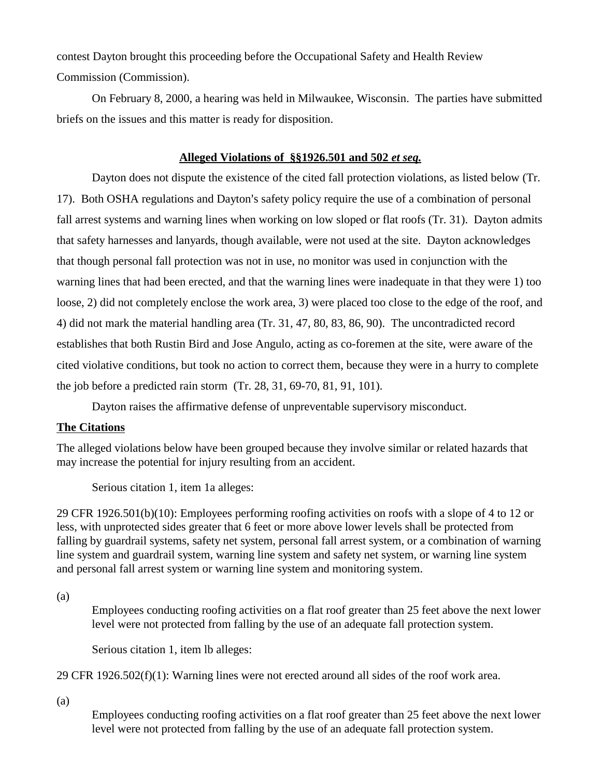contest Dayton brought this proceeding before the Occupational Safety and Health Review Commission (Commission).

On February 8, 2000, a hearing was held in Milwaukee, Wisconsin. The parties have submitted briefs on the issues and this matter is ready for disposition.

# **Alleged Violations of §§1926.501 and 502** *et seq.*

Dayton does not dispute the existence of the cited fall protection violations, as listed below (Tr. 17). Both OSHA regulations and Dayton's safety policy require the use of a combination of personal fall arrest systems and warning lines when working on low sloped or flat roofs (Tr. 31). Dayton admits that safety harnesses and lanyards, though available, were not used at the site. Dayton acknowledges that though personal fall protection was not in use, no monitor was used in conjunction with the warning lines that had been erected, and that the warning lines were inadequate in that they were 1) too loose, 2) did not completely enclose the work area, 3) were placed too close to the edge of the roof, and 4) did not mark the material handling area (Tr. 31, 47, 80, 83, 86, 90). The uncontradicted record establishes that both Rustin Bird and Jose Angulo, acting as co-foremen at the site, were aware of the cited violative conditions, but took no action to correct them, because they were in a hurry to complete the job before a predicted rain storm (Tr. 28, 31, 69-70, 81, 91, 101).

Dayton raises the affirmative defense of unpreventable supervisory misconduct.

# **The Citations**

The alleged violations below have been grouped because they involve similar or related hazards that may increase the potential for injury resulting from an accident.

Serious citation 1, item 1a alleges:

29 CFR 1926.501(b)(10): Employees performing roofing activities on roofs with a slope of 4 to 12 or less, with unprotected sides greater that 6 feet or more above lower levels shall be protected from falling by guardrail systems, safety net system, personal fall arrest system, or a combination of warning line system and guardrail system, warning line system and safety net system, or warning line system and personal fall arrest system or warning line system and monitoring system.

(a)

Employees conducting roofing activities on a flat roof greater than 25 feet above the next lower level were not protected from falling by the use of an adequate fall protection system.

Serious citation 1, item lb alleges:

29 CFR 1926.502(f)(1): Warning lines were not erected around all sides of the roof work area.

(a)

Employees conducting roofing activities on a flat roof greater than 25 feet above the next lower level were not protected from falling by the use of an adequate fall protection system.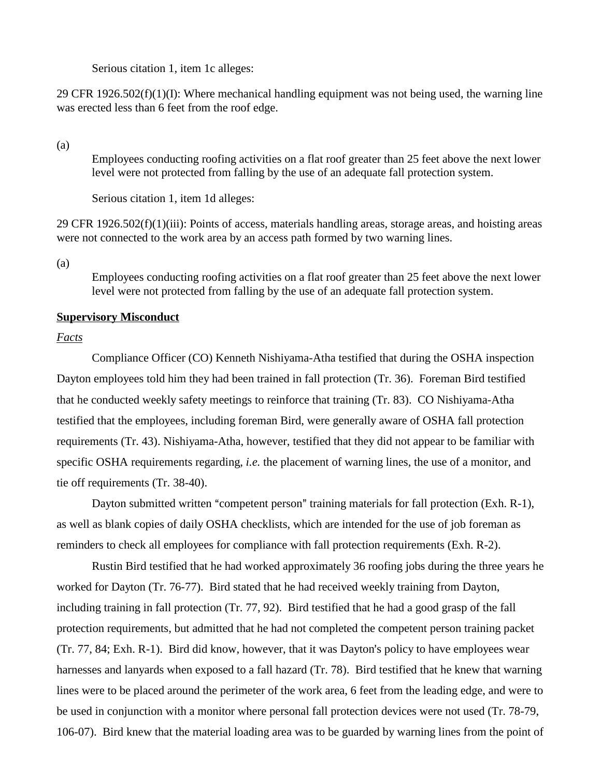Serious citation 1, item 1c alleges:

29 CFR  $1926.502(f)(1)(I)$ : Where mechanical handling equipment was not being used, the warning line was erected less than 6 feet from the roof edge.

(a)

Employees conducting roofing activities on a flat roof greater than 25 feet above the next lower level were not protected from falling by the use of an adequate fall protection system.

Serious citation 1, item 1d alleges:

29 CFR 1926.502(f)(1)(iii): Points of access, materials handling areas, storage areas, and hoisting areas were not connected to the work area by an access path formed by two warning lines.

(a)

Employees conducting roofing activities on a flat roof greater than 25 feet above the next lower level were not protected from falling by the use of an adequate fall protection system.

### **Supervisory Misconduct**

## *Facts*

Compliance Officer (CO) Kenneth Nishiyama-Atha testified that during the OSHA inspection Dayton employees told him they had been trained in fall protection (Tr. 36). Foreman Bird testified that he conducted weekly safety meetings to reinforce that training (Tr. 83). CO Nishiyama-Atha testified that the employees, including foreman Bird, were generally aware of OSHA fall protection requirements (Tr. 43). Nishiyama-Atha, however, testified that they did not appear to be familiar with specific OSHA requirements regarding, *i.e.* the placement of warning lines, the use of a monitor, and tie off requirements (Tr. 38-40).

Dayton submitted written "competent person" training materials for fall protection (Exh. R-1), as well as blank copies of daily OSHA checklists, which are intended for the use of job foreman as reminders to check all employees for compliance with fall protection requirements (Exh. R-2).

Rustin Bird testified that he had worked approximately 36 roofing jobs during the three years he worked for Dayton (Tr. 76-77). Bird stated that he had received weekly training from Dayton, including training in fall protection (Tr. 77, 92). Bird testified that he had a good grasp of the fall protection requirements, but admitted that he had not completed the competent person training packet  $(Tr. 77, 84; \text{Exh. } R-1)$ . Bird did know, however, that it was Dayton's policy to have employees wear harnesses and lanyards when exposed to a fall hazard (Tr. 78). Bird testified that he knew that warning lines were to be placed around the perimeter of the work area, 6 feet from the leading edge, and were to be used in conjunction with a monitor where personal fall protection devices were not used (Tr. 78-79, 106-07). Bird knew that the material loading area was to be guarded by warning lines from the point of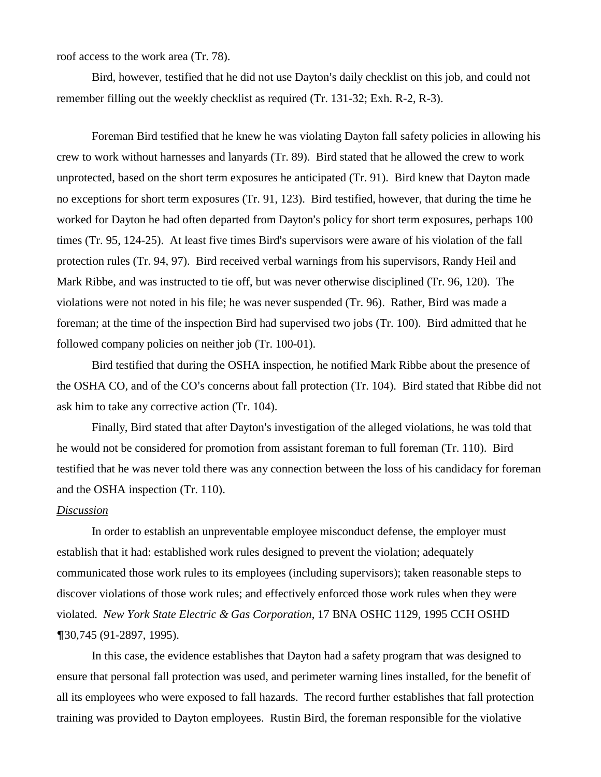roof access to the work area (Tr. 78).

Bird, however, testified that he did not use Dayton's daily checklist on this job, and could not remember filling out the weekly checklist as required (Tr. 131-32; Exh. R-2, R-3).

Foreman Bird testified that he knew he was violating Dayton fall safety policies in allowing his crew to work without harnesses and lanyards (Tr. 89). Bird stated that he allowed the crew to work unprotected, based on the short term exposures he anticipated (Tr. 91). Bird knew that Dayton made no exceptions for short term exposures (Tr. 91, 123). Bird testified, however, that during the time he worked for Dayton he had often departed from Dayton's policy for short term exposures, perhaps 100 times (Tr. 95, 124-25). At least five times Bird's supervisors were aware of his violation of the fall protection rules (Tr. 94, 97). Bird received verbal warnings from his supervisors, Randy Heil and Mark Ribbe, and was instructed to tie off, but was never otherwise disciplined (Tr. 96, 120). The violations were not noted in his file; he was never suspended (Tr. 96). Rather, Bird was made a foreman; at the time of the inspection Bird had supervised two jobs (Tr. 100). Bird admitted that he followed company policies on neither job (Tr. 100-01).

Bird testified that during the OSHA inspection, he notified Mark Ribbe about the presence of the OSHA CO, and of the CO's concerns about fall protection (Tr. 104). Bird stated that Ribbe did not ask him to take any corrective action (Tr. 104).

Finally, Bird stated that after Dayton's investigation of the alleged violations, he was told that he would not be considered for promotion from assistant foreman to full foreman (Tr. 110). Bird testified that he was never told there was any connection between the loss of his candidacy for foreman and the OSHA inspection (Tr. 110).

#### *Discussion*

In order to establish an unpreventable employee misconduct defense, the employer must establish that it had: established work rules designed to prevent the violation; adequately communicated those work rules to its employees (including supervisors); taken reasonable steps to discover violations of those work rules; and effectively enforced those work rules when they were violated. *New York State Electric & Gas Corporation*, 17 BNA OSHC 1129, 1995 CCH OSHD 30,745 (91-2897, 1995).

In this case, the evidence establishes that Dayton had a safety program that was designed to ensure that personal fall protection was used, and perimeter warning lines installed, for the benefit of all its employees who were exposed to fall hazards. The record further establishes that fall protection training was provided to Dayton employees. Rustin Bird, the foreman responsible for the violative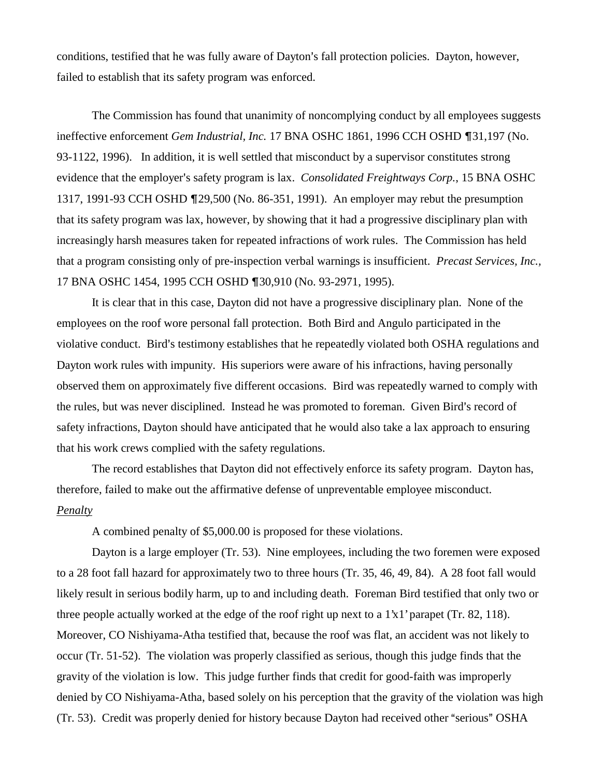conditions, testified that he was fully aware of Dayton's fall protection policies. Dayton, however, failed to establish that its safety program was enforced.

The Commission has found that unanimity of noncomplying conduct by all employees suggests ineffective enforcement *Gem Industrial, Inc.* 17 BNA OSHC 1861, 1996 CCH OSHD ¶31,197 (No. 93-1122, 1996). In addition, it is well settled that misconduct by a supervisor constitutes strong evidence that the employer's safety program is lax. *Consolidated Freightways Corp.*, 15 BNA OSHC 1317, 1991-93 CCH OSHD 29,500 (No. 86-351, 1991). An employer may rebut the presumption that its safety program was lax, however, by showing that it had a progressive disciplinary plan with increasingly harsh measures taken for repeated infractions of work rules. The Commission has held that a program consisting only of pre-inspection verbal warnings is insufficient. *Precast Services, Inc.,* 17 BNA OSHC 1454, 1995 CCH OSHD ¶30,910 (No. 93-2971, 1995).

It is clear that in this case, Dayton did not have a progressive disciplinary plan. None of the employees on the roof wore personal fall protection. Both Bird and Angulo participated in the violative conduct. Bird's testimony establishes that he repeatedly violated both OSHA regulations and Dayton work rules with impunity. His superiors were aware of his infractions, having personally observed them on approximately five different occasions. Bird was repeatedly warned to comply with the rules, but was never disciplined. Instead he was promoted to foreman. Given Bird's record of safety infractions, Dayton should have anticipated that he would also take a lax approach to ensuring that his work crews complied with the safety regulations.

The record establishes that Dayton did not effectively enforce its safety program. Dayton has, therefore, failed to make out the affirmative defense of unpreventable employee misconduct. *Penalty*

A combined penalty of \$5,000.00 is proposed for these violations.

Dayton is a large employer (Tr. 53). Nine employees, including the two foremen were exposed to a 28 foot fall hazard for approximately two to three hours (Tr. 35, 46, 49, 84). A 28 foot fall would likely result in serious bodily harm, up to and including death. Foreman Bird testified that only two or three people actually worked at the edge of the roof right up next to a 1'x1' parapet (Tr. 82, 118). Moreover, CO Nishiyama-Atha testified that, because the roof was flat, an accident was not likely to occur (Tr. 51-52). The violation was properly classified as serious, though this judge finds that the gravity of the violation is low. This judge further finds that credit for good-faith was improperly denied by CO Nishiyama-Atha, based solely on his perception that the gravity of the violation was high (Tr. 53). Credit was properly denied for history because Dayton had received other "serious" OSHA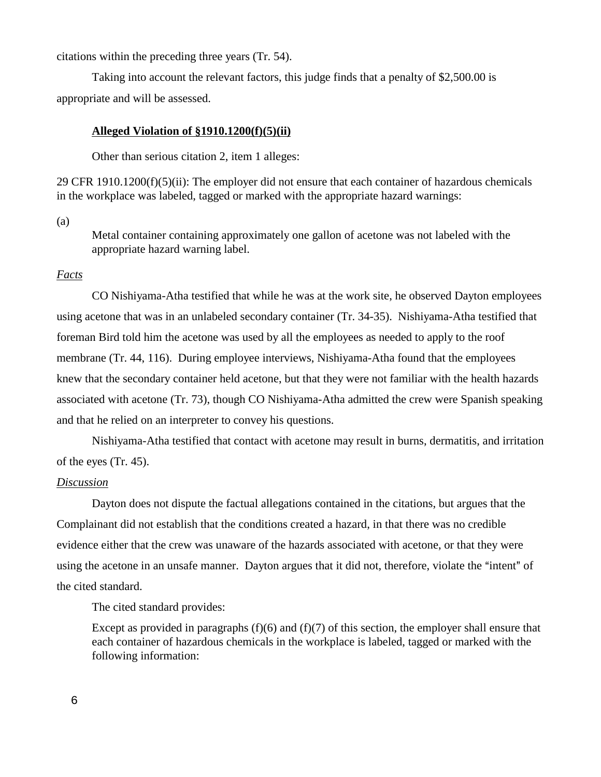citations within the preceding three years (Tr. 54).

Taking into account the relevant factors, this judge finds that a penalty of \$2,500.00 is appropriate and will be assessed.

#### **Alleged Violation of §1910.1200(f)(5)(ii)**

Other than serious citation 2, item 1 alleges:

29 CFR  $1910.1200(f)(5)(ii)$ : The employer did not ensure that each container of hazardous chemicals in the workplace was labeled, tagged or marked with the appropriate hazard warnings:

(a)

Metal container containing approximately one gallon of acetone was not labeled with the appropriate hazard warning label.

## *Facts*

CO Nishiyama-Atha testified that while he was at the work site, he observed Dayton employees using acetone that was in an unlabeled secondary container (Tr. 34-35). Nishiyama-Atha testified that foreman Bird told him the acetone was used by all the employees as needed to apply to the roof membrane (Tr. 44, 116). During employee interviews, Nishiyama-Atha found that the employees knew that the secondary container held acetone, but that they were not familiar with the health hazards associated with acetone (Tr. 73), though CO Nishiyama-Atha admitted the crew were Spanish speaking and that he relied on an interpreter to convey his questions.

Nishiyama-Atha testified that contact with acetone may result in burns, dermatitis, and irritation of the eyes (Tr. 45).

## *Discussion*

Dayton does not dispute the factual allegations contained in the citations, but argues that the Complainant did not establish that the conditions created a hazard, in that there was no credible evidence either that the crew was unaware of the hazards associated with acetone, or that they were using the acetone in an unsafe manner. Dayton argues that it did not, therefore, violate the "intent" of the cited standard.

The cited standard provides:

Except as provided in paragraphs  $(f)(6)$  and  $(f)(7)$  of this section, the employer shall ensure that each container of hazardous chemicals in the workplace is labeled, tagged or marked with the following information: